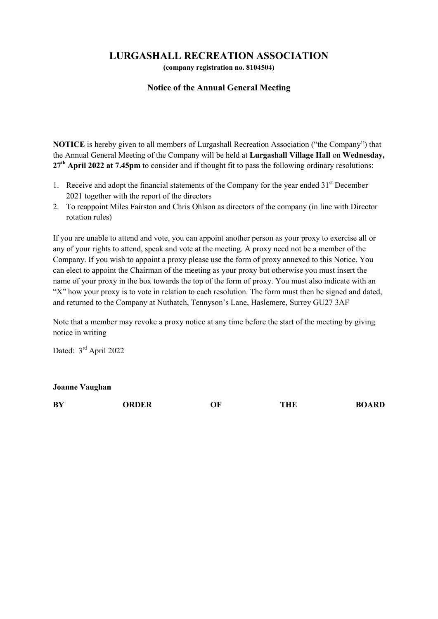# LURGASHALL RECREATION ASSOCIATION

(company registration no. 8104504)

### Notice of the Annual General Meeting

NOTICE is hereby given to all members of Lurgashall Recreation Association ("the Company") that the Annual General Meeting of the Company will be held at Lurgashall Village Hall on Wednesday,  $27<sup>th</sup>$  April 2022 at 7.45pm to consider and if thought fit to pass the following ordinary resolutions:

- 1. Receive and adopt the financial statements of the Company for the year ended  $31<sup>st</sup>$  December 2021 together with the report of the directors
- 2. To reappoint Miles Fairston and Chris Ohlson as directors of the company (in line with Director rotation rules)

If you are unable to attend and vote, you can appoint another person as your proxy to exercise all or any of your rights to attend, speak and vote at the meeting. A proxy need not be a member of the Company. If you wish to appoint a proxy please use the form of proxy annexed to this Notice. You can elect to appoint the Chairman of the meeting as your proxy but otherwise you must insert the name of your proxy in the box towards the top of the form of proxy. You must also indicate with an "X" how your proxy is to vote in relation to each resolution. The form must then be signed and dated, and returned to the Company at Nuthatch, Tennyson's Lane, Haslemere, Surrey GU27 3AF

Note that a member may revoke a proxy notice at any time before the start of the meeting by giving notice in writing

Dated: 3<sup>rd</sup> April 2022

Joanne Vaughan

| BY | <b>)RDER</b> | ЭF | NHB | <b>BOARD</b> |
|----|--------------|----|-----|--------------|
|    |              |    |     |              |